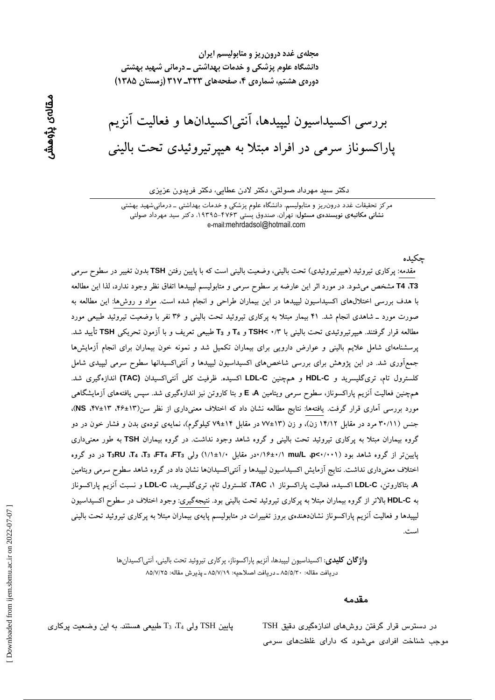مجلهی غدد درون ریز و متابولیسم ایران دانشگاه علوم پزشکی و خدمات بهداشتی ــ درمانی شهید بهشتی دوره ی هشتم، شماره ی ۴، صفحههای ۳۲۳ـ ۳۱۷ (زمستان ۱۳۸۵)

بررسی اکسیداسیون لیپیدها، آنتی|کسیدانها و فعالیت آنزیم پاراکسوناز سرمی در افراد مبتلا به هییر تیروئیدی تحت بالینی

#### دکتر سید مهرداد صولتی، دکتر لادن عطایی، دکتر فریدون عزیزی

مرکز تحقیقات غدد درون٫یز و متابولیسم، دانشگاه علوم پزشکی و خدمات بهداشتی ــ درمانیشهید بهشتی نشانی مکاتبهی نویسندهی مسئول: تهران، صندوق پستی ۴۷۶۳-۱۹۳۹۵، دکتر سید مهرداد صولتی e-mail:mehrdadsol@hotmail.com

مقدمه: پرکاری تیروئید (هیپرتیروئیدی) تحت بالینی، وضعیت بالینی است که با پایین رفتن TSH بدون تغییر در سطوح سرمی T4 ،T3 مشخص میشود. در مورد اثر این عارضه بر سطوح سرمی و متابولیسم لیپیدها اتفاق نظر وجود ندارد، لذا این مطالعه با هدف بررسی اختلالهای اکسیداسیون لیپیدها در این بیماران طراحی و انجام شده است. مواد و روشها: این مطالعه به صورت مورد ـ شاهدی انجام شد. ۴۱ بیمار مبتلا به پرکاری تیروئید تحت بالینی و ۳۶ نفر با وضعیت تیروئید طبیعی مورد مطالعه قرار گرفتند. هیپرتیروئیدی تحت بالینی با ۲/ ۲ TSH و T<sub>4</sub> و T<sub>3</sub> طبیعی تعریف و با آزمون تحریکی TSH تأیید شد. پرسشنامهای شامل علایم بالینی و عوارض دارویی برای بیماران تکمیل شد و نمونه خون بیماران برای انجام آزمایشها جمعآوری شد. در این پژوهش برای بررسی شاخصهای اکسیداسیون لیپیدها و آنتی|کسیدانها سطوح سرمی لیپیدی شامل كلسترول تام، ترى گليسريد و HDL-C و همچنين LDL-C اكسيده. ظرفيت كلي آنتي اكسيدان (TAC) اندازهگيرى شد. همچنین فعالیت آنزیم پاراکسوناز، سطوح سرمی ویتامین E ،A و بتا کاروتن نیز اندازهگیری شد. سپس یافتههای آزمایشگاهی مورد بررسی آماری قرار گرفت. یافتهها: نتایج مطالعه نشان داد که اختلاف معنیداری از نظر سن(۱۳±۴۶، ۱۳+۴۷، NS)، جنس (۳۰/۱۱ مرد در مقابل ۱۴/۱۲ زن)، و زن (۱۳±۷۷ در مقابل ۱۴±۷۹ کیلوگرم)، نمایهی تودهی بدن و فشار خون در دو گروه بیماران مبتلا به پرکاری تیروئید تحت بالینی و گروه شاهد وجود نداشت. در گروه بیماران TSH به طور معنی داری یایین تر از گروه شاهد بود (۰۰۱/۰+۳۵ ap<۱/۰۰۱/ ۰۰در مقابل ۱/۰±۱/۱) ولی T<sub>3</sub>، FT4، T3، FT4، T3، FT4، T3، ور دو گروه اختلاف معنیداری نداشت. نتایج آزمایش اکسیداسیون لیپیدها و آنتی|کسیدانها نشان داد در گروه شاهد سطوح سرمی ویتامین A، بتاکاروتن، LDL-C اکسیده، فعالیت پاراکسوناز TAC ، کلسترول تام، تریگلیسرید، LDL-C و نسبت آنزیم پاراکسوناز به HDL-C بالاتر از گروه بیماران مبتلا به پرکاری تیروئید تحت بالینی بود. نتیجهگیری: وجود اختلاف در سطوح اکسیداسیون لیپیدها و فعالیت آنزیم پاراکسوناز نشاندهندهی بروز تغییرات در متابولیسم پایهی بیماران مبتلا به پرکاری تیروئید تحت بالینی

> **واژگان كليدي**: اكسيداسيون ليپيدها، آنزيم پاراكسوناز، پر كاري تيروئيد تحت باليني، آنتي|كسيدانها دريافت مقاله: ٨٥/٥/٢٠ ـ دريافت اصلاحيه: ٨٥/٧/١٩ ـ پذيرش مقاله: ٨٥/٧/٢٥

#### مقدمه

حكىدە

در دسترس قرار گرفتن روشهای اندازهگیری دقیق TSH موجب شناخت افرادی میشود که دارای غلظتهای سرمی

پایین TSH ولی  $T_3$ ،  $T_4$  طبیعی هستند. به این وضعیت پرکاری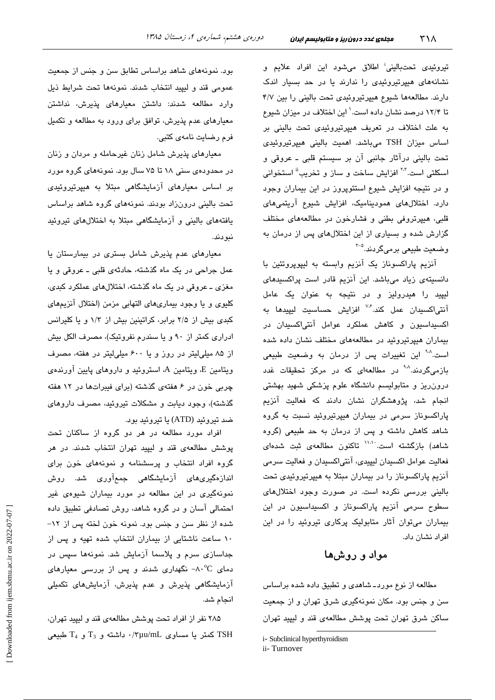تیروئی*دی* تحتبالینی<sup>:</sup> اطلاق میشود این افراد علایم و نشانههای هیپرتیروئیدی را ندارند یا در حد بسیار اندک دارند. مطالعهها شیوع هیپرتیروئیدی تحت بالینی را بین ۴/۷ تا ۱۲/۴ درصد نشان داده است.' این اختلاف در میزان شیوع به علت اختلاف در تعریف هیپرتیروئیدی تحت بالینی بر اساس میزان TSH میباشد. اهمیت بالینی هیپرتیروئیدی تحت بالینی درآثار جانبی آن بر سیستم قلبی ـ عروقی و اسکلتی است.<sup>۲۰۲</sup> افزایش ساخت و ساز و تخریب<sup>ة</sup> استخوانی و در نتیجه افزایش شیوع استئوپروز در این بیماران وجود دارد. اختلالهای همودینامیک، افزایش شیوع آریتمیهای قلبی، هیپرتروفی بطنی و فشارخون در مطالعههای مختلف گزارش شده و بسیاری از این اختلالهای پس از درمان به وضعيت طبيعي برميگردند.<sup>4-۲</sup>

آنزیم پاراکسوناز یک آنزیم وابسته به لیپوپروتئین با دانسیتهی زیاد میباشد. این آنزیم قادر است پراکسیدهای لیپید را هیدرولیز و در نتیجه به عنوان یک عامل آنتی/کسیدان عمل کند.<sup>۷٫۶</sup> افزایش حساسیت لیپید*ه*ا به اکسیداسیون و کاهش عملکرد عوامل آنتیاکسیدان در بیماران هیپرتیروئید در مطالعههای مختلف نشان داده شده است.<sup>۹۰۸</sup> این تغییرات پس از درمان به وضعیت طبی*عی* بازمیگردند.<sup>۹۰۸</sup> در مطالعهای که در مرکز تحقیقات غدد درون ریز و متابولیسم دانشگاه علوم پزشکی شهید بهشتی انجام شد، پژوهشگران نشان دادند که فعالیت آنزیم پاراکسوناز سرمی در بیماران هیپرتیروئید نسبت به گروه شاهد کاهش داشته و پس از درمان به حد طبیعی (گروه شاهد) بازگشته است<sup>. ۱۱۸</sup>۱ تاکنون مطالعهی ثبت شدهای فعاليت عوامل اكسيدان ليپيدي، آنتياكسيدان و فعاليت سرمي آنزیم پاراکسوناز را در بیماران مبتلا به هیپرتیروئیدی تحت بالینی بررسی نکرده است. در صورت وجود اختلالهای سطوح سرمی آنزیم پاراکسوناز و اکسیداسیون در این بیماران میتوان آثار متابولیک پرکاری تیروئید را در این افراد نشان داد.

## مواد و روشها

مطالعه از نوع موردـ شاهدي و تطبيق داده شده براساس سن و جنس بود. مکان نمونهگیری شرق تهران و از جمعیت ساکن شرق تهران تحت پوشش مطالعهی قند و لیپید تهران

بود. نمونههای شاهد براساس تطابق سن و جنس از جمعیت عمومي قند و ليييد انتخاب شدند. نمونهها تحت شرايط ذيل وارد مطالعه شدند: داشتن معیارهای پذیرش، نداشتن معیارهای عدم پذیرش، توافق برای ورود به مطالعه و تکمیل فرم رضايت نامەي كتبي.

معیارهای پذیرش شامل زنان غیرحامله و مردان و زنان در محدودهی سنی ۱۸ تا ۷۵ سال بود. نمونههای گروه مورد بر اساس معیارهای آزمایشگاهی مبتلا به هبیرتیروئیدی تحت بالینی درونزاد بودند. نمونههای گروه شاهد براساس یافتههای بالینی و آزمایشگاهی مبتلا به اختلالهای تیروئید نبو دند.

معیارهای عدم پذیرش شامل بستری در بیمارستان یا عمل جراحي در يک ماه گذشته، حادثهي قلبي ــ عروقي و يا مغزی ــ عروقی در یک ماه گذشته، اختلالهای عملکرد کبدی، كليوى و يا وجود بيمارىهاى التهابى مزمن (اختلال آنزيمهاى کبدی بیش از ۲/۵ برابر، کراتینین بیش از ۱/۳ و یا کلیرانس ادراری کمتر از ۹۰ و یا سندرم نفروتیک)، مصرف الکل بیش از ۸۵ میلی لیتر در روز و یا ۶۰۰ میلی لیتر در هفته، مصرف ویتامین E، ویتامین A، استروئید و داروهای پایین آورندهی چربی خون در ۶ هفتهی گذشته (برای فیبراتها در ۱۲ هفته گذشته)، وجود دیابت و مشکلات تیروئید، مصرف داروهای ضد تيروئيد (ATD) يا تيروئيد بود.

افراد مورد مطالعه در هر دو گروه از ساکنان تحت پوشش مطالعهی قند و لیپید تهران انتخاب شدند. در هر گروه افراد انتخاب و پرسشنامه و نمونههای خون برای اندازەگىرى،ھاى آزمايشگاھى جمعآورى شد. روش نمونهگیری در این مطالعه در مورد بیماران شیوهی غیر احتمالی آسان و در گروه شاهد، روش تصادفی تطبیق داده شده از نظر سن و جنس بود. نمونه خون لخته پس از ١٢-١٠ ساعت ناشتايى از بيماران انتخاب شده تهيه و پس از جداسازی سرم و پلاسما آزمایش شد. نمونهها سپس در دمای A۰ $^{\circ}$ C نگهداری شدند و پس از بررسی معیارهای آزمایشگاهی پذیرش و عدم پذیرش، آزمایشهای تکمیلی انجام شد.

۲۸۵ نفر از افراد تحت پوشش مطالعهی قند و لیپید تهران، کمتر یا مساوی πμu/mL داشته و T<sub>3</sub> و T<sub>4</sub> طبیعی C<sub>4</sub>

i- Subclinical hyperthyroidism

ii-Turnover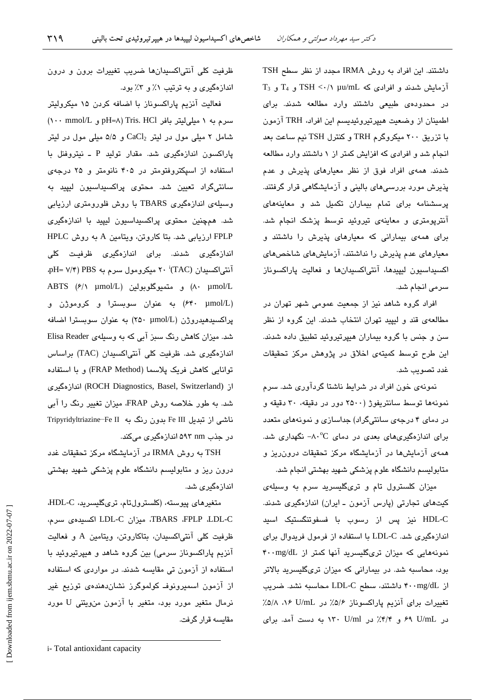داشتند. این افراد به روش IRMA مجدد از نظر سطح TSH  $T_3$  آزمایش شدند و افرادی که TSH <  $\cdot$ /۱ µu/mL و  $T_4$  و آ در محدودهی طبیعی داشتند وارد مطالعه شدند. برای اطمينان از وضعيت هيپرتيروئيديسم اين افراد، TRH آزمون با تزریق ۲۰۰ میکروگرم TRH و کنترل TSH نیم ساعت بعد انجام شد و افرادی که افزایش کمتر از ۱ داشتند وارد مطالعه شدند. همهی افراد فوق از نظر معیارهای پذیرش و عدم پذیرش مورد بررسی های بالینی و آزمایشگاهی قرار گرفتند. پرسشنامه برای تمام بیماران تکمیل شد و معاینههای آنترپومتری و معاینهی تیروئید توسط پزشک انجام شد. برای همهی بیمارانی که معیارهای پذیرش را داشتند و معیارهای عدم پذیرش را نداشتند، آزمایشهای شاخصهای اكسيداسيون ليپيدها، آنتى اكسيدانها و فعاليت پاراكسوناز سرمی انجام شد.

افراد گروه شاهد نیز از جمعیت عمومی شهر تهران در مطالعهی قند و لیپید تهران انتخاب شدند. این گروه از نظر سن و جنس با گروه بیماران هیپرتیروئید تطبیق داده شدند. این طرح توسط کمیتهی اخلاق در پژوهش مرکز تحقیقات غدد تصويب شد.

نمونهی خون افراد در شرایط ناشتا گردآوری شد. سرم نمونهها توسط سانتریفوژ (۲۵۰۰ دور در دقیقه، ۳۰ دقیقه و در دمای ۴ درجهی سانتیگراد) جداسازی و نمونههای متعدد برای اندازهگیریهای بعدی در دمای C^۰- نگهداری شد. همهی آزمایشها در آزمایشگاه مرکز تحقیقات درون ریز و متابولیسم دانشگاه علوم پزشکی شهید بهشتی انجام شد.

میزان کلسترول تام و تریگلیسرید سرم به وسیلهی کیتھای تجارتی (پارس آزمون ـ ایران) اندازہگیری شدند. HDL-C نیز پس از رسوب با فسفوتنگستیک اسید اندازهگیری شد. LDL-C با استفاده از فرمول فریدوال برای نمونههایی که میزان تریگلیسرید آنها کمتر از f..mg/dL بود، محاسبه شد. در بیمارانی که میزان تریگلیسرید بالاتر از ۴۰۰mg/dL داشتند، سطح LDL-C محاسبه نشد. ضریب تغییرات برای آنزیم پاراکسوناز ۵/۶٪ در U/mL ۸۶ ۵/۸٪ در U/mL ۶۹ و ۴/۴٪ در ۱۳۰ U/ml به دست آمد. برای

ظرفیت کلی آنتی|کسیدانها ضریب تغییرات برون و درون اندازهگیری و به ترتیب ۱٪ و ۳٪ بود.

فعالیت آنزیم پاراکسوناز با اضافه کردن ۱۵ میکرولیتر  $(\cdots \text{ mmol/L } _{\varrho})$  pH=A) Tris. HCl و pH=A) شامل ۲ میلی مول در لیتر CaCl2 و ۵/۵ میلی مول در لیتر پاراکسون اندازهگیری شد. مقدار تولید P ـ نیتروفنل با استفاده از اسپکتروفتومتر در ۴۰۵ نانومتر و ۲۵ درجهی سانتی،گراد تعیین شد. محتوی پراکسیداسیون لیپید به وسیلهی اندازهگیری TBARS با روش فلورومتری ارزیابی شد. همچنین محتوی پراکسیداسیون لیپید با اندازهگیری FPLP ارزیابی شد. بتا کاروتن، ویتامین A به روش HPLC اندازهگیری شدند. برای اندازهگیری ظرفیت کلی PH= V/۴) PBS سيکرومول سرم به PBS (۲۰ i(TAC) ABTS (۶/۱ μmol/L) و متميوگلوبولين (ABTS (۶/۱ μmol/L (۶۴۰ µmol/L) به عنوان سوبسترا و كروموژن و پراکسیدهیدروژن (۲۵۰ µmol/L) به عنوان سوبسترا اضافه شد. میزان کاهش رنگ سبز آبی که به وسیلهی Elisa Reader اندازهگیری شد. ظرفیت کلی آنتیاکسیدان (TAC) براساس توانامی کاهش فریک پلاسما (FRAP Method) و با استفاده از (ROCH Diagnostics, Basel, Switzerland) اندازهگیری شد. به طور خلاصه روش FRAP، میزان تغییر رنگ را آبی ناشی از تبدیل Fe III بدون رنگ به Tripyridyltriazine Fe II در جذب nm ۵۹۳ اندازهگیری میکند.

TSH به روش IRMA در آزمایشگاه مرکز تحقیقات غدد درون ریز و متابولیسم دانشگاه علوم پزشکی شهید بهشتی اندازەگىرى شد.

ەتغىرھاي پيوستە، (كلسترولتام، ترىگليسريد، HDL-C، TBARS ،FPLP ،LDL-C، ميزان LDL-C اكسيدهى سرم، ظرفیت کلی آنتی|کسیدان، بتاکاروتن، ویتامین A و فعالیت آنزیم پاراکسوناز سرمی) بین گروه شاهد و هیپرتیروئید با استفاده از آزمون تی مقایسه شدند. در مواردی که استفاده از آزمون اسمیرونوف کولموگرز نشاندهندهی توزیع غیر نرمال متغیر مورد بود، متغیر با آزمون منویتنی U مورد مقاسىه قرار گرفت.

i-Total antioxidant capacity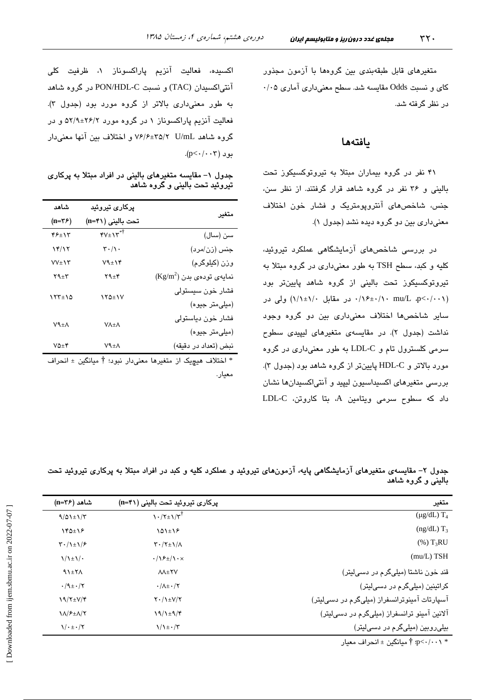متغیرهای قابل طبقهبندی بین گروهها با آزمون مجذور کای و نسبت Odds مقایسه شد. سطح معنیداری آماری ۰/۰۵ در نظر گرفته شد.

### بافتهها

۴۱ نفر در گروه بیماران مبتلا به تیروتوکسیکوز تحت بالینی و ۳۶ نفر در گروه شاهد قرار گرفتند. از نظر سن، جنس، شاخصهای آنتروپومتریک و فشار خون اختلاف معنیداری بین دو گروه دیده نشد (جدول ۱).

در بررسی شاخصهای آزمایشگاهی عملکرد تیروئید، کلیه و کبد، سطح TSH به طور معنیداری در گروه مبتلا به تیروتوکسیکوز تحت بالینی از گروه شاهد پایینتر بود (۰٫۱۰+/۱۰ mu/L .p<۰/۰۰ در مقابل ۱/۱±۱/۱) ولی در سایر شاخصها اختلاف معنیداری بین دو گروه وجود نداشت (جدول ۲). در مقایسهی متغیرهای لیپیدی سطوح سرمی کلسترول تام و LDL-C به طور معنیداری در گروه مورد بالاتر و HDL-C پایینتر از گروه شاهد بود (جدول ۳). بررسی متغیرهای اکسیداسیون لیپید و آنتیاکسیدانها نشان داد که سطوح سرمی ویتامین A، بتا کاروتن، LDL-C

اکسیده، فعالیت آنزیم پاراکسوناز ۱، ظرفیت کلی آنتی|کسیدان (TAC) و نسبت PON/HDL-C در گروه شاهد به طور معنى دارى بالاتر از گروه مورد بود (جدول ٣). فعالیت آنزیم پاراکسوناز ۱ در گروه مورد ۲۶/۲±۵۲/۹ و در گروه شاهد U/mL 7\72+8/8 و اختلاف بين آنها معنى دار  $(p<\cdot/\cdot\cdot\tau)$ بو د

جدول ۱– مقایسه متغیرهای بالینی در افراد مبتلا به پرکاری تیروئید تحت بالینی و گروه شاهد

| شاهد          | یرکار <i>ی</i> تیروئی <i>د</i>           |                                    |
|---------------|------------------------------------------|------------------------------------|
| $(n=\tau)$    | تحت باليني (n=۴۱)                        | متغير                              |
| ۴۶±۱۳         | $\mathbf{y} \mathbf{y} \pm \mathbf{y}^*$ | سن (سال)                           |
| ۱۴/۱۲         | $\mathbf{r} \cdot / \mathbf{v}$ .        | جنس (زن/مرد)                       |
| $VV + VY$     | $V$ ۹ $\pm$ ۱۴                           | وزن (کیلوگرم)                      |
| ۲۹±۳          | $Y4 \pm Y$                               | $(\text{Kg/m}^2)$ نمایهی تودهی بدن |
| 177±10        | ۱۲۵±۱۷                                   | فشار خون سيستولى                   |
|               |                                          | (میلی متر جیوه)                    |
| ۷٩±٨          | <b>VA±A</b>                              | فشار خون دياستولى                  |
|               |                                          | (میلی متر جیوه)                    |
| $V\Delta + V$ | ۷٩±٨                                     | نبض (تعداد در دقيقه)               |
|               |                                          |                                    |

\* اختلاف هیچیک از متغیرها معنیدار نبود؛ † میانگین ± انحراف معيار.

جدول ۲– مقایسهی متغیرهای آزمایشگاهی پایه، آزمونهای تیروئید و عملکرد کلیه و کبد در افراد مبتلا به پرکاری تیروئید تحت بالینی و گروه شاهد

| متغير                                        | پرکاری تیروئید تحت بالینی (n=۴۱)                   | شاهد (n=۳۶)                             |
|----------------------------------------------|----------------------------------------------------|-----------------------------------------|
| $(\mu g/dL)$ T <sub>4</sub>                  | $\frac{1}{\sqrt{7}}$                               | $9/01 \pm 1/7$                          |
| $(ng/dL)$ T <sub>3</sub>                     | $101 \pm 12$                                       | $Y^{\beta}$                             |
| $(\%)$ T <sub>3</sub> RU                     | $\Upsilon \cdot / \Upsilon \pm \Upsilon / \Lambda$ | $\mathcal{F} \cdot / \mathcal{F}$       |
| $(mu/L)$ TSH                                 | $\cdot/\sqrt{2\pm1}\cdot x$                        | $\frac{1}{2}$                           |
| قند خون ناشتا (میلیگرم در دسیلیتر)           | <b>AA±YV</b>                                       | $\lambda$ $\lambda$ + $\lambda$         |
| کراتینین (میلیگرم در دسیلیتر)                | $\cdot/\lambda$ ± $\cdot/\tau$                     | $\cdot$ /9± $\cdot$ /۲                  |
| آسپارتات آمینوترانسفراز (میلیگرم در دسیلیتر) | $Y \cdot / \lambda \pm V/Y$                        | $19/7\pm V/f$                           |
| آلانین آمینو ترانسفراز (میلیگرم در دسیلیتر)  | $19/1 \pm 9/9$                                     | <b>11/۶±1/7</b>                         |
| بیلی روبین (میلیگرم در دسیلیتر)              | $\frac{1}{\sqrt{\frac{1}{2}} \cdot \pi}$           | $\sqrt{\cdot}$ $\pm \cdot$ / $\sqrt{ }$ |
|                                              |                                                    |                                         |

- p<-/·-\،>p: أ ميانگين ± انحراف معيار $\uparrow$  :p<-/·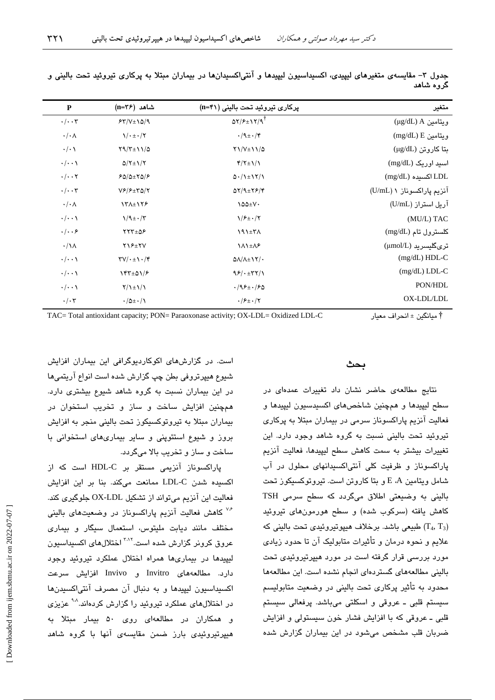| $\mathbf{P}$           | شاهد (n=۳۶)                                      | پرکاری تیروئید تحت بالینی (n=۴۱)                                  | متغير                     |
|------------------------|--------------------------------------------------|-------------------------------------------------------------------|---------------------------|
| $\cdot/\cdot\cdot$ ۳   | $54/V \pm 10/9$                                  | $\Delta Y/F \pm Y/Y/\mathcal{A}^{\dagger}$                        | (ug/dL) A ريتامين         |
| $\cdot/\cdot$ $\wedge$ | $\sqrt{\cdot}$ $\pm \cdot$ / $\sqrt{ }$          | $\cdot$ /9 $\pm \cdot$ /۴                                         | $(mg/dL) E$ ويتامين E     |
| $\cdot/\cdot \wedge$   | $Y9/Y \pm 11/\Delta$                             | $Y\1/V \pm 1\1/\Delta$                                            | بتا كاروتن (μg/dL)        |
| $\cdot/\cdot\cdot$     | $Q/Y \pm 1/Y$                                    | $\frac{f}{\tau + 1}$                                              | اسید اوریک (mg/dL)        |
| $\cdot/\cdot\cdot$ ۲   | $FQ/\Delta \pm YQ/F$                             | $\Delta$ $\cdot$ / $\lambda$ $\pm$ $\lambda$ $\gamma$ / $\lambda$ | $(mg/dL)$ اکسیده $LDL$    |
| $\cdot/\cdot\cdot$ ۳   | $V$ ۶/۶ $\pm$ ۳۵/۲                               | $QY/9=Y9/4$                                                       | آنزیم پاراکسوناز ۱ (U/mL) |
| $\cdot/\cdot \wedge$   | 131±178                                          | $\lambda \Delta \Delta \pm V$                                     | آریل استراز (U/mL)        |
| $\cdot/\cdot\cdot$     | $\frac{1}{4} \cdot \frac{\pi}{4}$                | $1/F_{\pm}$ ./۲                                                   | (MU/L) TAC                |
| $\cdot/\cdot\cdot$ ۶   | $YY^{\pm} \Delta F$                              | 191±۳A                                                            | كلسترول تام (mg/dL)       |
| $\cdot/\lambda$        | $YY+YY$                                          | <b>111±18</b>                                                     | ترىگليسريد (µmol/L)       |
| $\cdot/\cdot\cdot$     | $\Upsilon V/\cdot \pm \Upsilon \cdot / \Upsilon$ | $\Delta\Lambda/\Lambda \pm 17/$                                   | $(mg/dL) HDL-C$           |
| $\cdot/\cdot\cdot$     | $Yf^{\mu}$                                       | 95/1577/1                                                         | $(mg/dL)$ LDL-C           |
| $\cdot/\cdot\cdot$     | $Y/\lambda \pm \lambda/\lambda$                  | $.795 \pm .750$                                                   | PON/HDL                   |
| $\cdot/\cdot7$         | $\cdot/\Delta \pm \cdot/\Lambda$                 | $\cdot$ / $\mathcal{F}$ + $\cdot$ /۲                              | OX-LDL/LDL                |

جدول ۳– مقایسهی متغیرهای لیپیدی، اکسیداسیون لیپیدها و آنتی!کسیدانها در بیماران مبتلا به پرکاری تیروئید تحت بالینی و گروه شاهد

TAC= Total antioxidant capacity; PON= Paraoxonase activity; OX-LDL= Oxidized LDL-C 1 8 ;7A%7 ± @% †

#### بحث

.<br>نتایج مطالعهی حاضر نشان داد تغییرات عمدهای در سطح ليبيدها و هجچنين شاخص هاي اکسيدسيون ليبيدها و فعالیت آنزیم پاراکسوناز سرمی در بیماران مبتلا به پرکاری .<br>تیروئید تحت پالینی نسبت به گروه شاهد وجود دارد. این تغییرات بیشتر به سمت کاهش سطح لبیدها، فعالیت آنزیم پاراکسوناز و ظرفیت کلی آنتیاکسیدانهای محلول در آب شامل ويتامين E ،A و بتا كاروتن است. تيروتوكسبكوز تحت ۔<br>باللئے یه وضیعتی اطلاق مےگردد که سطح سرمی TSH کاهش بافته (سرکوب شده) و سطح هورمونهای تیروئید طبیعی باشد. برخلاف هیپوتیروئیدی تحت بالینی که  $(T_4, T_3)$ علايم و نجوه درمان و تأثيرات متابوليک آن تا جدود زيادي مورد پررسی قرار گرفته است در مورد هیپرتیروئیدی تحت بالبني مطالعههاي گستر دواي انجام نشده است. اين مطالعهها محدود به تأثیر پرکاری تحت بالینی در وضعیت متابولیسم سیستم قلبی ــ عروقی و اسکلتی میباشد. پرفعالی سیستم قلس ـ عروقي که يا افزايش فشار خون سيستولي و افزايش ضربان قلب مشخص مے شود در این بیماران گزارش شدہ

است. در گزارش های اکوکاردیوگرافی این بیماران افزایش شبوع هبیر تروفی بطن چپ گزارش شده است انواع آریتم ها در این بیماران نسبت به گروه شاهد شیوع بیشتری دارد. همحنين افزايش ساخت و ساز و تخريب استخوان در بیماران میتلا به تیرو توکسیکو ز تحت بالینی منجر به افزایش بروز و شیوع استئوپنی و سایر بیماریهای استخوانی با ساخت و ساز و تخریب بالا میگردد.

پاراکسوناز آنزیمی مستقر بر HDL-C است که از اکسیده شدن LDL-C ممانعت میکند. بنا بر این افزایش فعاليت اين آنزيم ميتواند از تشكيل OX-LDL جلوگيري كند. <sup>۷۶</sup> کاهش فعالیت آنزیم پاراکسوناز در وضعیتهای بالینی مختلف مانند دبابت ملیتوس، استعمال سیگار و بیماری عروق کرونر گزارش شده است.<sup>۲٬۱۲</sup> اختلالهای اکسیداسیون لسدها در بیماریها همراه اختلال عملکرد تیروئید وجود دارد. مطالعههای Invitro و Invivo افزایش سرعت اكسيداسيون ليبيدها و به دنبال آن مصرف آنتے(كسيدنها در اختلالهای عملکرد تیروئید را گزارش کردهاند.<sup>۹۸</sup> عزیزی و همکاران در مطالعهای روی ۵۰ پیمار میتلا به هیدرتبروئیدی بارز ضمن مقایسهی آنها با گروه شاهد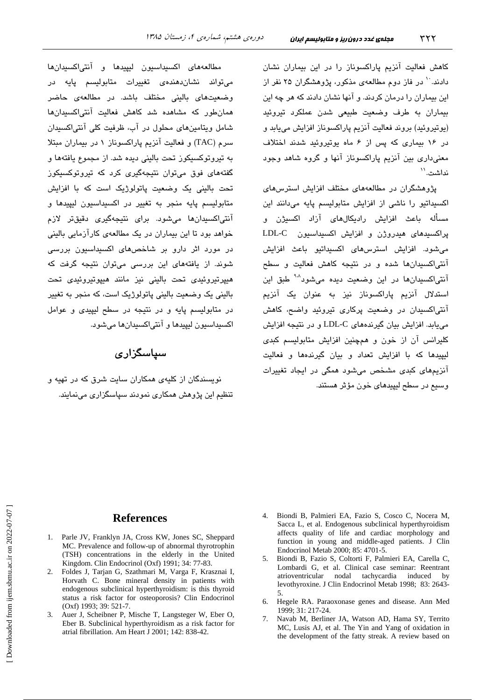کاهش فعالیت آنزیم پاراکسوناز را در این بیماران نشان دادند. `` در فاز دوم مطالعهی مذکور، پژوهشگران ۲۵ نفر از این بیماران را درمان کردند. و آنها نشان دادند که هر چه این بیماران به طرف وضعیت طبیعی شدن عملکرد تیروئید (بوتروئيد) بروند فعاليت آنزيم پاراكسوناز افزايش مى بايد و در ۱۶ بیماری که پس از ۶ ماه یوتیروئید شدند اختلاف معنی داری بین آنزیم پاراکسوناز آنها و گروه شاهد وجود نداشت. ``

پژوهشگران در مطالعههای مختلف افزایش استرسهای اکسیداتیو را ناشی از افزایش متابولیسم پایه میدانند این مسأله باعث افزایش رادیکالهای آزاد اکسیژن و یراکسیدهای هیدروژن و افزایش اکسیداسیون LDL-C میشود. افزایش استرسهای اکسیداتیو باعث افزایش آنتی/کسیدانها شده و در نتیجه کاهش فعالیت و سطح آنتی/کسیدانها در این وضعیت دیده میشود<sup>۹۰۸</sup> طبق این استدلال آنزیم پاراکسوناز نیز به عنوان یک آنزیم آنتیاکسیدان در وضعیت پرکاری تیروئید واضح، کاهش می یابد. افزایش بیان گیرندههای LDL-C و در نتیجه افزایش کلیرانس آن از خون و همچنین افزایش متابولیسم کبدی لیپیدها که با افزایش تعداد و بیان گیرندهها و فعالیت آنزیمهای کبدی مشخص میشود همگی در ایجاد تغییرات وسيع در سطح ليپيدهای خون مؤثر هستند.

مطالعههای اکسیداسیون لیپیدها و آنتی|کسیدانها می تواند نشاندهندهی تغییرات متابولیسم پایه در وضعیتهای بالینی مختلف باشد. در مطالعهی حاضر همانطور که مشاهده شد کاهش فعالیت آنتیاکسیدانها شامل ویتامینهای محلول در آب، ظرفیت کلی آنتی/کسیدان سرم (TAC) و فعاليت آنزيم ياراكسوناز ١ در بيماران مبتلا به تیروتوکسیکوز تحت بالینی دیده شد. از مجموع یافتهها و گفتههای فوق میتوان نتیجهگیری کرد که تیروتوکسیکوز تحت بالینی یک وضعیت پاتولوژیک است که با افزایش متابوليسم پايه منجر به تغيير در اكسيداسيون ليپيد*ه*ا و آنتی|کسیدانها میشود. برای نتیجهگیری دقیقتر لازم خواهد بود تا این بیماران در یک مطالعهی کارآزمایی بالینی در مورد اثر دارو بر شاخصهای اکسیداسیون بررسی شوند. از پافتههای این بررسی میتوان نتیجه گرفت که میپرتیروئی*دی* تحت بالینی نیز مانند هیپوتیروئی*دی* تحت بالینی یک وضعیت بالینی پاتولوژیک است، که منجر به تغمر در متابولسیم یابه و در نتیجه در سطح لبیندی و عوامل اکسیداسیون لیپیدها و آنتیاکسیدانها میشود.

## سياسگزاري

.<br>نویسندگان از کلیه*ی ه*مکاران سایت شرق که در تهیه و تنظیم این پژوهش همکاری نمودند سپاسگزاری می،نمایند.

#### **References**

- 1. Parle JV, Franklyn JA, Cross KW, Jones SC, Sheppard MC. Prevalence and follow-up of abnormal thyrotrophin (TSH) concentrations in the elderly in the United Kingdom. Clin Endocrinol (Oxf) 1991; 34: 77-83.
- 2. Foldes J, Tarjan G, Szathmari M, Varga F, Krasznai I, Horvath C. Bone mineral density in patients with endogenous subclinical hyperthyroidism: is this thyroid status a risk factor for osteoporosis? Clin Endocrinol (Oxf) 1993; 39: 521-7.
- 3. Auer J, Scheibner P, Mische T, Langsteger W, Eber O, Eber B. Subclinical hyperthyroidism as a risk factor for atrial fibrillation. Am Heart J 2001; 142: 838-42.
- 4. Biondi B. Palmieri EA. Fazio S. Cosco C. Nocera M. Sacca L, et al. Endogenous subclinical hyperthyroidism affects quality of life and cardiac morphology and function in young and middle-aged patients. J Clin Endocrinol Metab 2000; 85: 4701-5.
- Biondi B, Fazio S, Coltorti F, Palmieri EA, Carella C,  $\sim$ Lombardi G, et al. Clinical case seminar: Reentrant atrioventricular nodal tachycardia induced  $hv$ levothyroxine. J Clin Endocrinol Metab 1998; 83: 2643-.5
- 6. Hegele RA. Paraoxonase genes and disease. Ann Med 1999: 31: 217-24.
- Navab M, Berliner JA, Watson AD, Hama SY, Territo  $7^{\circ}$ MC, Lusis AJ, et al. The Yin and Yang of oxidation in the development of the fatty streak. A review based on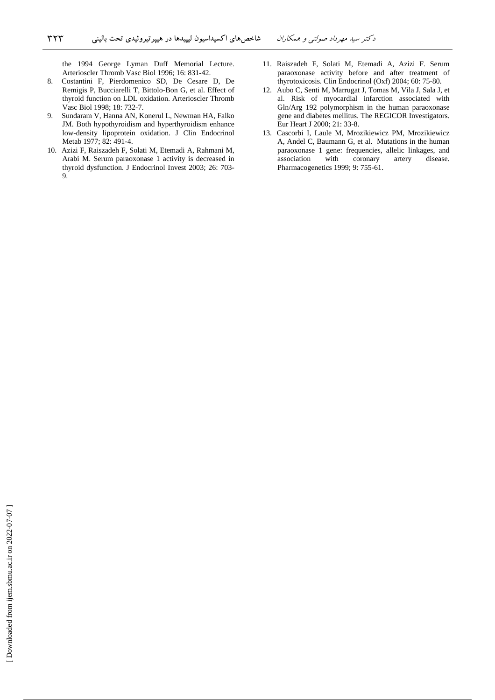the 1994 George Lyman Duff Memorial Lecture. Arterioscler Thromb Vasc Biol 1996; 16: 831-42.

- 8. Costantini F, Pierdomenico SD, De Cesare D, De Remigis P, Bucciarelli T, Bittolo-Bon G, et al. Effect of thyroid function on LDL oxidation. Arterioscler Thromb Vasc Biol 1998; 18: 732-7.
- 9. Sundaram V, Hanna AN, Konerul L, Newman HA, Falko JM. Both hypothyroidism and hyperthyroidism enhance low-density lipoprotein oxidation. J Clin Endocrinol Metab 1977; 82: 491-4.
- 10. Azizi F, Raiszadeh F, Solati M, Etemadi A, Rahmani M, Arabi M. Serum paraoxonase 1 activity is decreased in thyroid dysfunction. J Endocrinol Invest 2003; 26: 703- 9.
- 11. Raiszadeh F, Solati M, Etemadi A, Azizi F. Serum paraoxonase activity before and after treatment of thyrotoxicosis. Clin Endocrinol (Oxf) 2004; 60: 75-80.
- 12. Aubo C, Senti M, Marrugat J, Tomas M, Vila J, Sala J, et al. Risk of myocardial infarction associated with Gln/Arg 192 polymorphism in the human paraoxonase gene and diabetes mellitus. The REGICOR Investigators. Eur Heart J 2000; 21: 33-8.
- 13. Cascorbi I, Laule M, Mrozikiewicz PM, Mrozikiewicz A, Andel C, Baumann G, et al. Mutations in the human paraoxonase 1 gene: frequencies, allelic linkages, and association with coronary artery disease. Pharmacogenetics 1999; 9: 755-61.